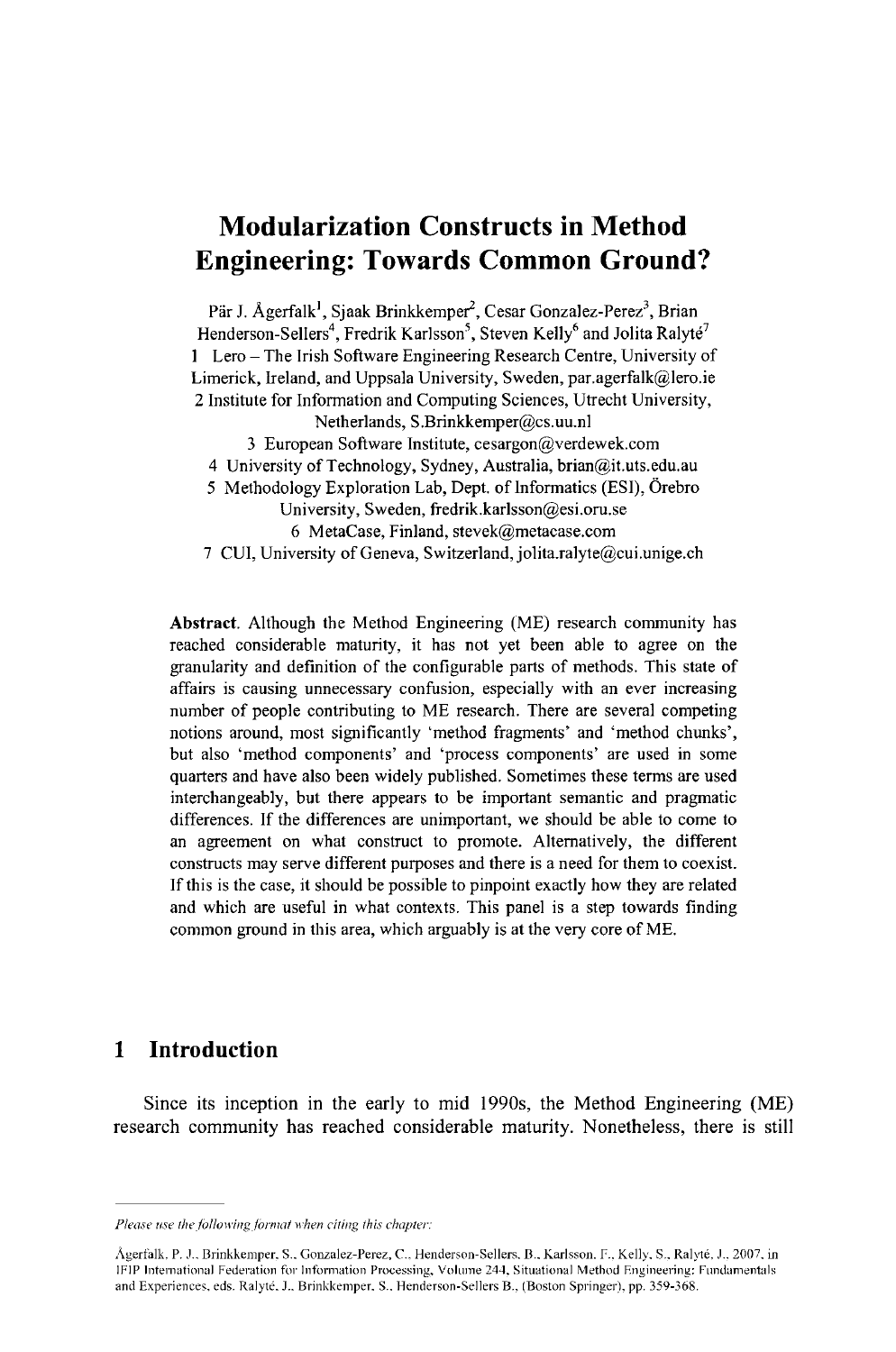# **Modularization Constructs in Method Engineering: Towards Common Ground?**

Pär J. Ågerfalk<sup>1</sup>, Sjaak Brinkkemper<sup>2</sup>, Cesar Gonzalez-Perez<sup>3</sup>, Brian Henderson-Sellers<sup>4</sup>, Fredrik Karlsson<sup>5</sup>, Steven Kelly<sup>6</sup> and Jolita Ralyté<sup>7</sup> 1 Lero- The Irish Software Engineering Research Centre, University of Limerick, Ireland, and Uppsala University, Sweden, par.agerfalk@lero.ie 2 Institute for Information and Computing Sciences, Utrecht University,

Netherlands, S.Brinkkemper@cs.uu.nl

- 3 European Software Institute, cesargon@verdewek.com
- 4 University of Technology, Sydney, Australia, brian@it.uts.edu.au

5 Methodology Exploration Lab, Dept. of Informatics (ESI), Orebro University, Sweden, fredrik.karlsson@esi.oru.se

6 MetaCase, Finland, stevek@metacase.com

7 CUI, University of Geneva, Switzerland, jolita.ralyte@cui.unige.ch

**Abstract.** Although the Method Engineering (ME) research community has reached considerable maturity, it has not yet been able to agree on the granularity and definition of the configurable parts of methods. This state of affairs is causing unnecessary confusion, especially with an ever increasing number of people contributing to ME research. There are several competing notions around, most significantly 'method fragments' and 'method chunks', but also 'method components' and 'process components' are used in some quarters and have also been widely published. Sometimes these terms are used interchangeably, but there appears to be important semantic and pragmatic differences. If the differences are unimportant, we should be able to come to an agreement on what construct to promote. Alternatively, the different constructs may serve different purposes and there is a need for them to coexist. If this is the case, it should be possible to pinpoint exactly how they are related and which are useful in what contexts. This panel is a step towards finding common ground in this area, which arguably is at the very core of ME.

#### **1 Introduction**

Since its inception in the early to mid 1990s, the Method Engineering (ME) research community has reached considerable maturity. Nonetheless, there is still

*Please use the following format when citing this chapter:* 

Agerthlk, P. J., Brinkkemper, S., Gonzalez-Perez, C., Henderson-Sellers, B., Karlsson, F., Kelly, S., Ralyt6, J., 2007, in IFIP International Federation for Information Processing, Volume 244, Situational Method Engineering: Fundamentals and Experiences, eds. Ralyté, J., Brinkkemper, S., Henderson-Sellers B., (Boston Springer), pp. 359-368.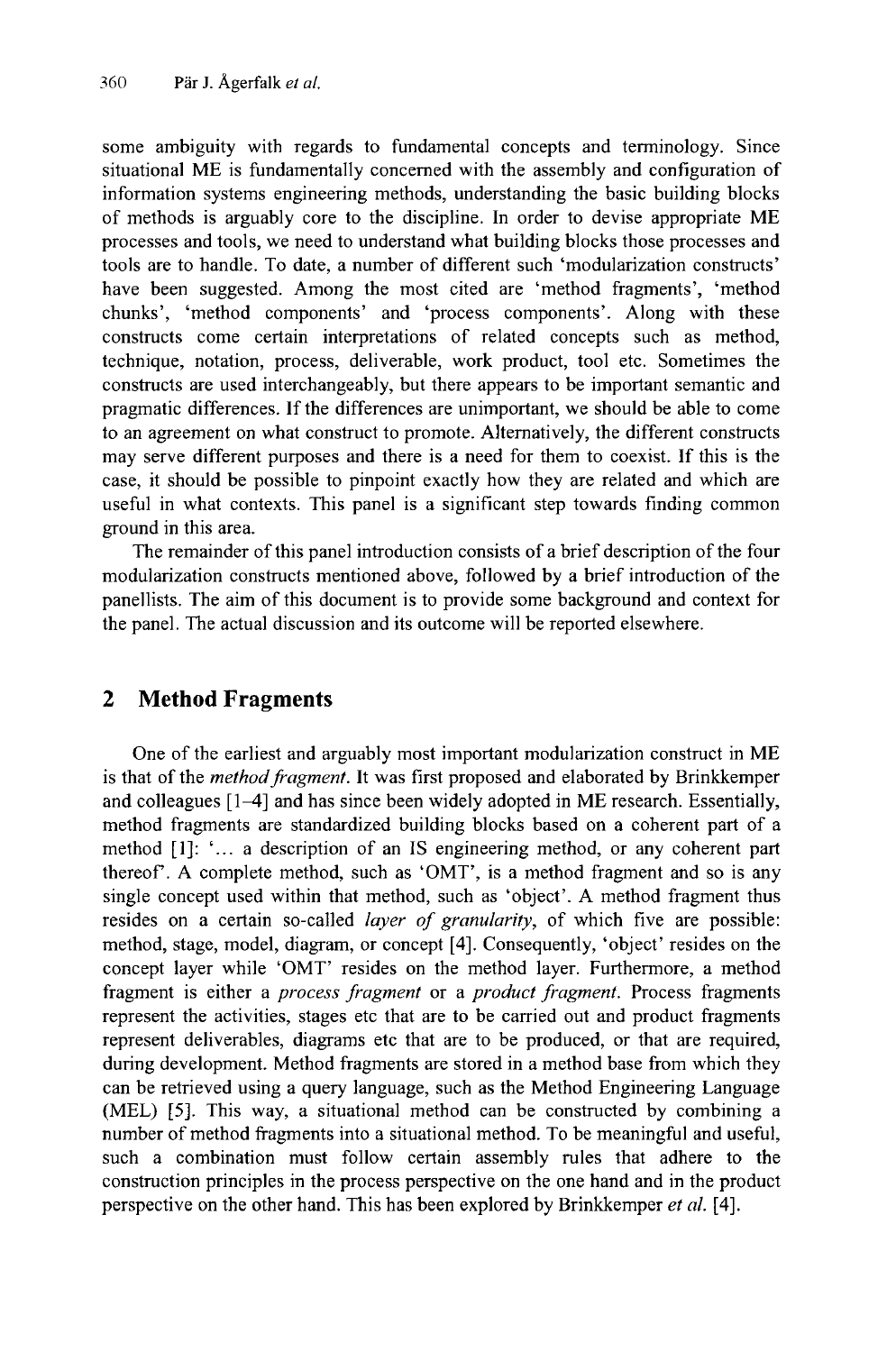some ambiguity with regards to fundamental concepts and terminology. Since situational ME is fundamentally concerned with the assembly and configuration of information systems engineering methods, understanding the basic building blocks of methods is arguably core to the discipline. In order to devise appropriate ME processes and tools, we need to understand what building blocks those processes and tools are to handle. To date, a number of different such 'modularization constructs' have been suggested. Among the most cited are 'method fragments', 'method chunks', 'method components' and 'process components'. Along with these constructs come certain interpretations of related concepts such as method, technique, notation, process, deliverable, work product, tool etc. Sometimes the constructs are used interchangeably, but there appears to be important semantic and pragmatic differences. If the differences are unimportant, we should be able to come to an agreement on what construct to promote. Alternatively, the different constructs may serve different purposes and there is a need for them to coexist. If this is the case, it should be possible to pinpoint exactly how they are related and which are useful in what contexts. This panel is a significant step towards finding common ground in this area.

The remainder of this panel introduction consists of a brief description of the four modularization constructs mentioned above, followed by a brief introduction of the panellists. The aim of this document is to provide some background and context for the panel. The actual discussion and its outcome will be reported elsewhere.

## **2 Method Fragments**

One of the earliest and arguably most important modularization construct in ME is that of the *method fragment*. It was first proposed and elaborated by Brinkkemper and colleagues [1-4] and has since been widely adopted in ME research. Essentially, method fragments are standardized building blocks based on a coherent part of a method [1]: '... a description of an IS engineering method, or any coherent part thereof'. A complete method, such as 'OMT', is a method fragment and so is any single concept used within that method, such as 'object'. A method fragment thus resides on a certain so-called *layer of granularity,* of which five are possible: method, stage, model, diagram, or concept [4]. Consequently, 'object' resides on the concept layer while 'OMT' resides on the method layer. Furthermore, a method fragment is either a *process fragment* or a *product fragment.* Process fragments represent the activities, stages etc that are to be carried out and product fragments represent deliverables, diagrams etc that are to be produced, or that are required, during development. Method fragments are stored in a method base from which they can be retrieved using a query language, such as the Method Engineering Language (MEL) [5]. This way, a situational method can be constructed by combining a number of method fragments into a situational method. To be meaningful and useful, such a combination must follow certain assembly rules that adhere to the construction principles in the process perspective on the one hand and in the product perspective on the other hand. This has been explored by Brinkkemper *et al.* [4].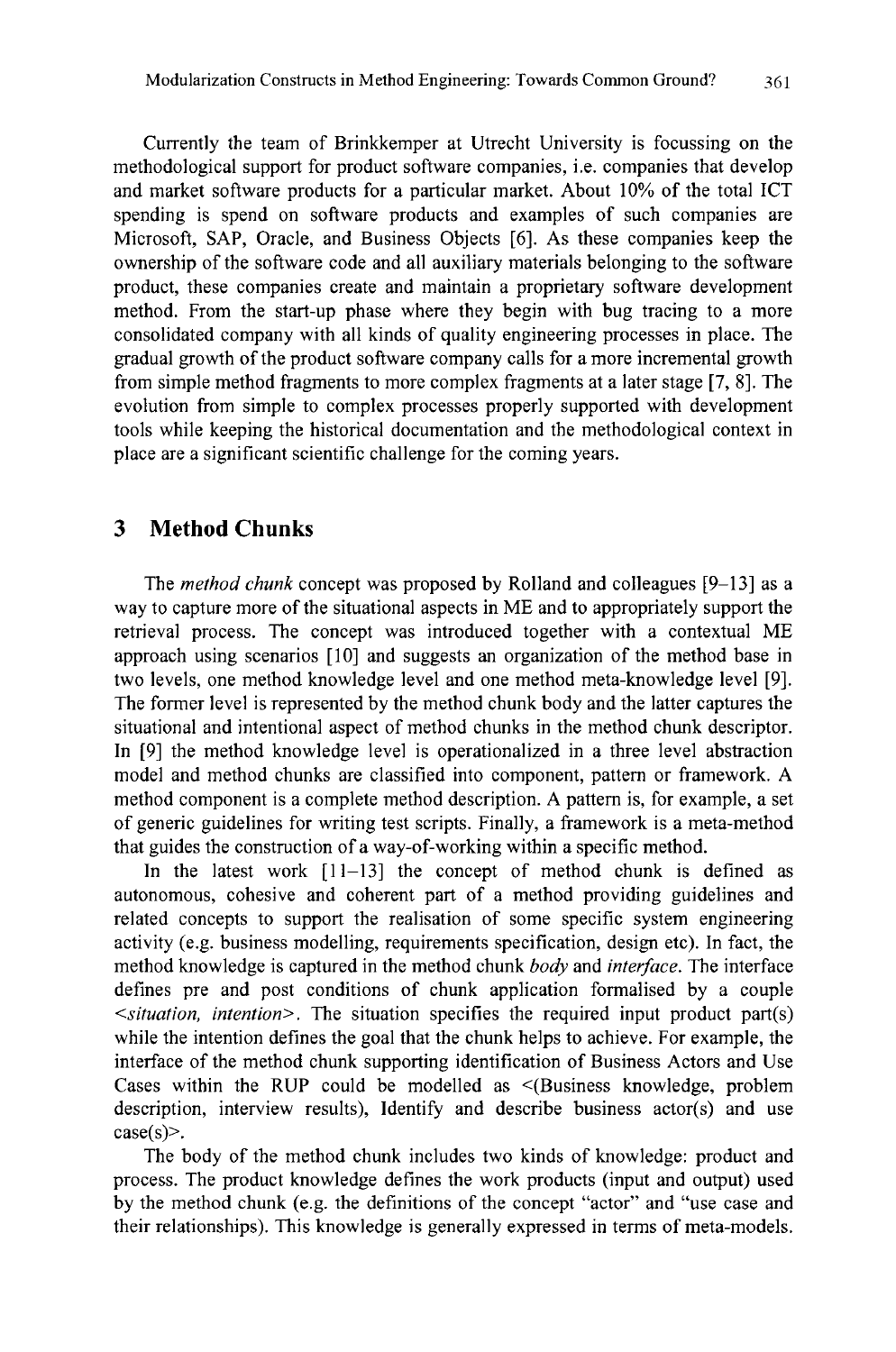Currently the team of Brinkkemper at Utrecht University is focussing on the methodological support for product software companies, i.e. companies that develop and market software products for a particular market. About  $10\%$  of the total ICT spending is spend on software products and examples of such companies are Microsoft, SAP, Oracle, and Business Objects [6]. As these companies keep the ownership of the software code and all auxiliary materials belonging to the software product, these companies create and maintain a proprietary software development method. From the start-up phase where they begin with bug tracing to a more consolidated company with all kinds of quality engineering processes in place. The gradual growth of the product software company calls for a more incremental growth from simple method fragments to more complex fragments at a later stage [7, 8]. The evolution from simple to complex processes properly supported with development tools while keeping the historical documentation and the methodological context in place are a significant scientific challenge for the coming years.

## **3 Method Chunks**

The *method chunk* concept was proposed by Rolland and colleagues [9-13] as a way to capture more of the situational aspects in ME and to appropriately support the retrieval process. The concept was introduced together with a contextual ME approach using scenarios [10] and suggests an organization of the method base in two levels, one method knowledge level and one method meta-knowledge level [9]. The former level is represented by the method chunk body and the latter captures the situational and intentional aspect of method chunks in the method chunk descriptor. In [9] the method knowledge level is operationalized in a three level abstraction model and method chunks are classified into component, pattern or framework. A method component is a complete method description. A pattern is, for example, a set of generic guidelines for writing test scripts. Finally, a framework is a meta-method that guides the construction of a way-of-working within a specific method.

In the latest work  $[11-13]$  the concept of method chunk is defined as autonomous, cohesive and coherent part of a method providing guidelines and related concepts to support the realisation of some specific system engineering activity (e.g. business modelling, requirements specification, design etc). In fact, the method knowledge is captured in the method chunk *body* and *interface. The* interface defines pre and post conditions of chunk application formalised by a couple *<situation, intention>. The* situation specifies the required input product part(s) while the intention defines the goal that the chunk helps to achieve. For example, the interface of the method chunk supporting identification of Business Actors and Use Cases within the RUP could be modelled as <(Business knowledge, problem description, interview results), Identify and describe business actor(s) and use case(s)>.

The body of the method chunk includes two kinds of knowledge: product and process. The product knowledge defines the work products (input and output) used by the method chunk (e.g. the definitions of the concept "actor" and "use case and their relationships). This knowledge is generally expressed in terms of meta-models.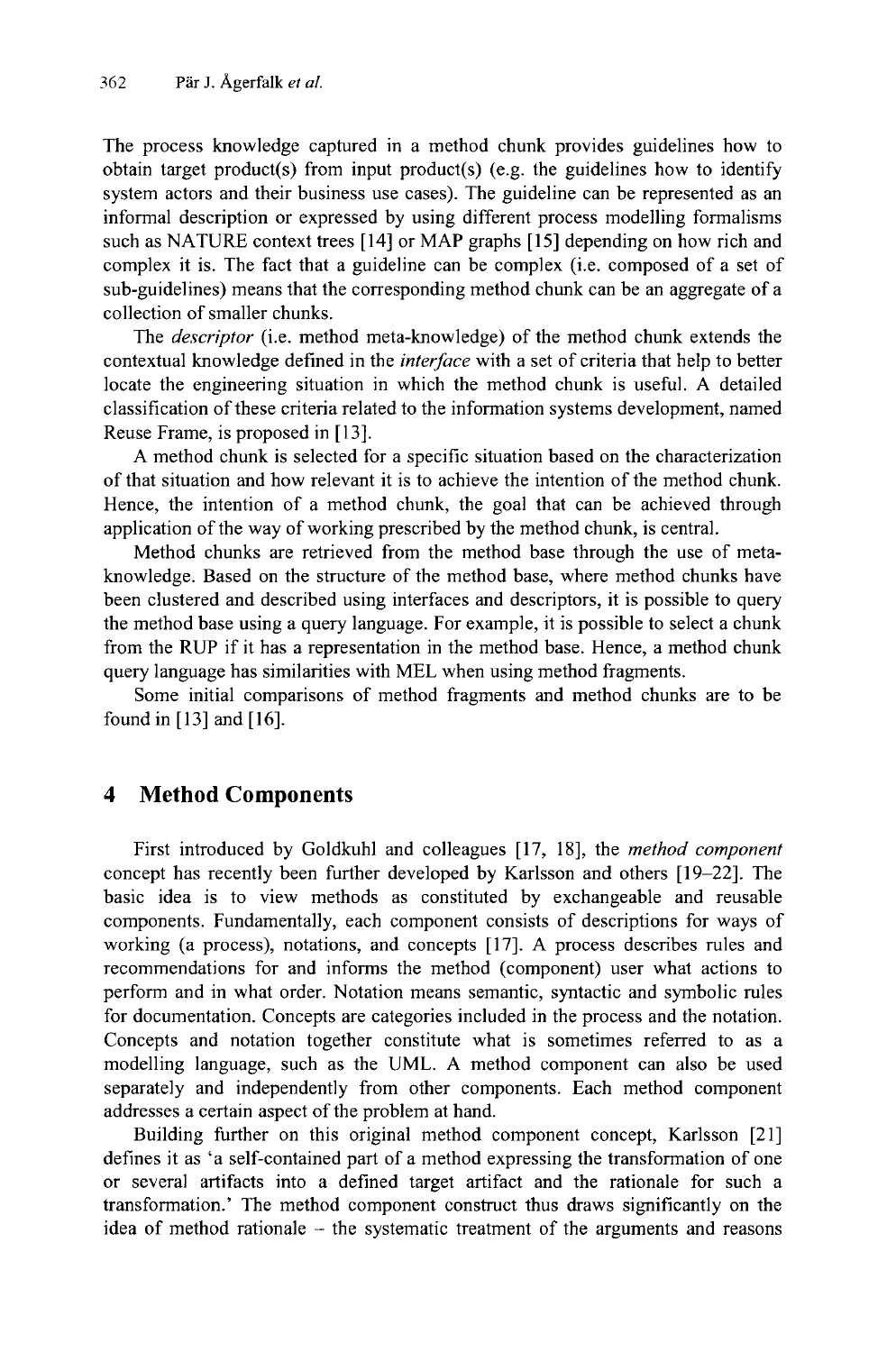The process knowledge captured in a method chunk provides guidelines how to obtain target product(s) from input product(s) (e.g. the guidelines how to identify system actors and their business use cases). The guideline can be represented as an informal description or expressed by using different process modelling formalisms such as NATURE context trees [14] or MAP graphs [15] depending on how rich and complex it is. The fact that a guideline can be complex (i.e. composed of a set of sub-guidelines) means that the corresponding method chunk can be an aggregate of a collection of smaller chunks.

The *descriptor* (i.e. method meta-knowledge) of the method chunk extends the contextual knowledge defined in the *interface* with a set of criteria that help to better locate the engineering situation in which the method chunk is useful. A detailed classification of these criteria related to the information systems development, named Reuse Frame, is proposed in [13].

A method chunk is selected for a specific situation based on the characterization of that situation and how relevant it is to achieve the intention of the method chunk. Hence, the intention of a method chunk, the goal that can be achieved through application of the way of working prescribed by the method chunk, is central.

Method chunks are retrieved from the method base through the use of metaknowledge. Based on the structure of the method base, where method chunks have been clustered and described using interfaces and descriptors, it is possible to query the method base using a query language. For example, it is possible to select a chunk from the RUP if it has a representation in the method base. Hence, a method chunk query language has similarities with MEL when using method fragments.

Some initial comparisons of method fragments and method chunks are to be found in [13] and [16].

#### **4 Method Components**

First introduced by Goldkuhl and colleagues [17, 18], the *method component*  concept has recently been further developed by Karlsson and others [19-22]. The basic idea is to view methods as constituted by exchangeable and reusable components. Fundamentally, each component consists of descriptions for ways of working (a process), notations, and concepts [17]. A process describes rules and recommendations for and informs the method (component) user what actions to perform and in what order. Notation means semantic, syntactic and symbolic rules for documentation. Concepts are categories included in the process and the notation. Concepts and notation together constitute what is sometimes referred to as a modelling language, such as the UML. A method component can also be used separately and independently from other components. Each method component addresses a certain aspect of the problem at hand.

Building further on this original method component concept, Karlsson [21] defines it as 'a self-contained part of a method expressing the transformation of one or several artifacts into a defined target artifact and the rationale for such a transformation.' The method component construct thus draws significantly on the idea of method rationale - the systematic treatment of the arguments and reasons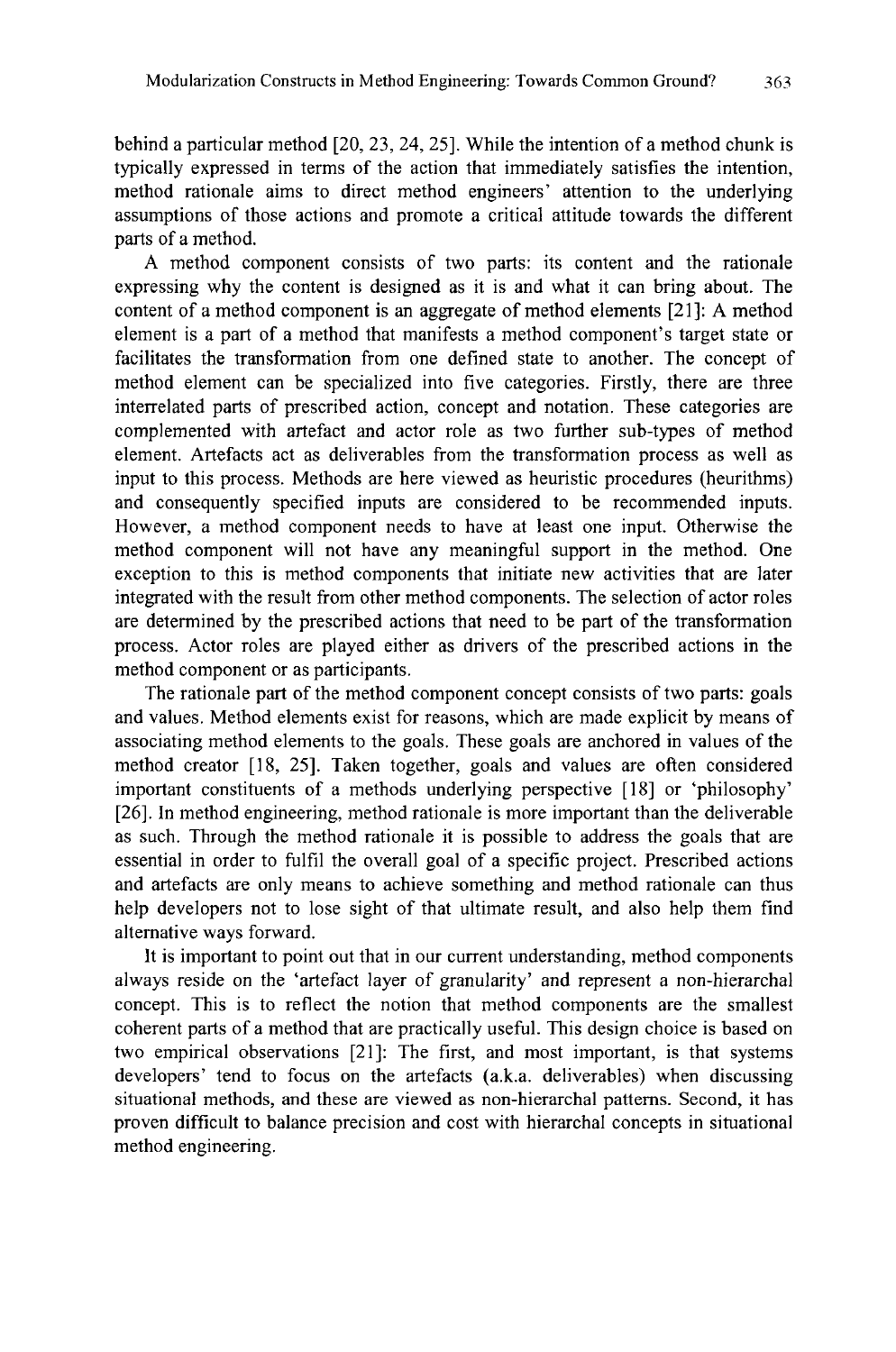behind a particular method [20, 23, 24, 25]. While the intention of a method chunk is typically expressed in terms of the action that immediately satisfies the intention, method rationale aims to direct method engineers' attention to the underlying assumptions of those actions and promote a critical attitude towards the different parts of a method.

A method component consists of two parts: its content and the rationale expressing why the content is designed as it is and what it can bring about. The content of a method component is an aggregate of method elements [21 ]: A method element is a part of a method that manifests a method component's target state or facilitates the transformation from one defined state to another. The concept of method element can be specialized into five categories. Firstly, there are three interrelated parts of prescribed action, concept and notation. These categories are complemented with artefact and actor role as two further sub-types of method element. Artefacts act as deliverables from the transformation process as well as input to this process. Methods are here viewed as heuristic procedures (heurithms) and consequently specified inputs are considered to be recommended inputs. However, a method component needs to have at least one input. Otherwise the method component will not have any meaningful support in the method. One exception to this is method components that initiate new activities that are later integrated with the result from other method components. The selection of actor roles are determined by the prescribed actions that need to be part of the transformation process. Actor roles are played either as drivers of the prescribed actions in the method component or as participants.

The rationale part of the method component concept consists of two parts: goals and values. Method elements exist for reasons, which are made explicit by means of associating method elements to the goals. These goals are anchored in values of the method creator [18, 25]. Taken together, goals and values are often considered important constituents of a methods underlying perspective [18] or 'philosophy' [26]. In method engineering, method rationale is more important than the deliverable as such. Through the method rationale it is possible to address the goals that are essential in order to fulfil the overall goal of a specific project. Prescribed actions and artefacts are only means to achieve something and method rationale can thus help developers not to lose sight of that ultimate result, and also help them find alternative ways forward.

It is important to point out that in our current understanding, method components always reside on the 'artefact layer of granularity' and represent a non-hierarchal concept. This is to reflect the notion that method components are the smallest coherent parts of a method that are practically useful. This design choice is based on two empirical observations [21]: The first, and most important, is that systems developers' tend to focus on the artefacts (a.k.a. deliverables) when discussing situational methods, and these are viewed as non-hierarchal patterns. Second, it has proven difficult to balance precision and cost with hierarchal concepts in situational method engineering.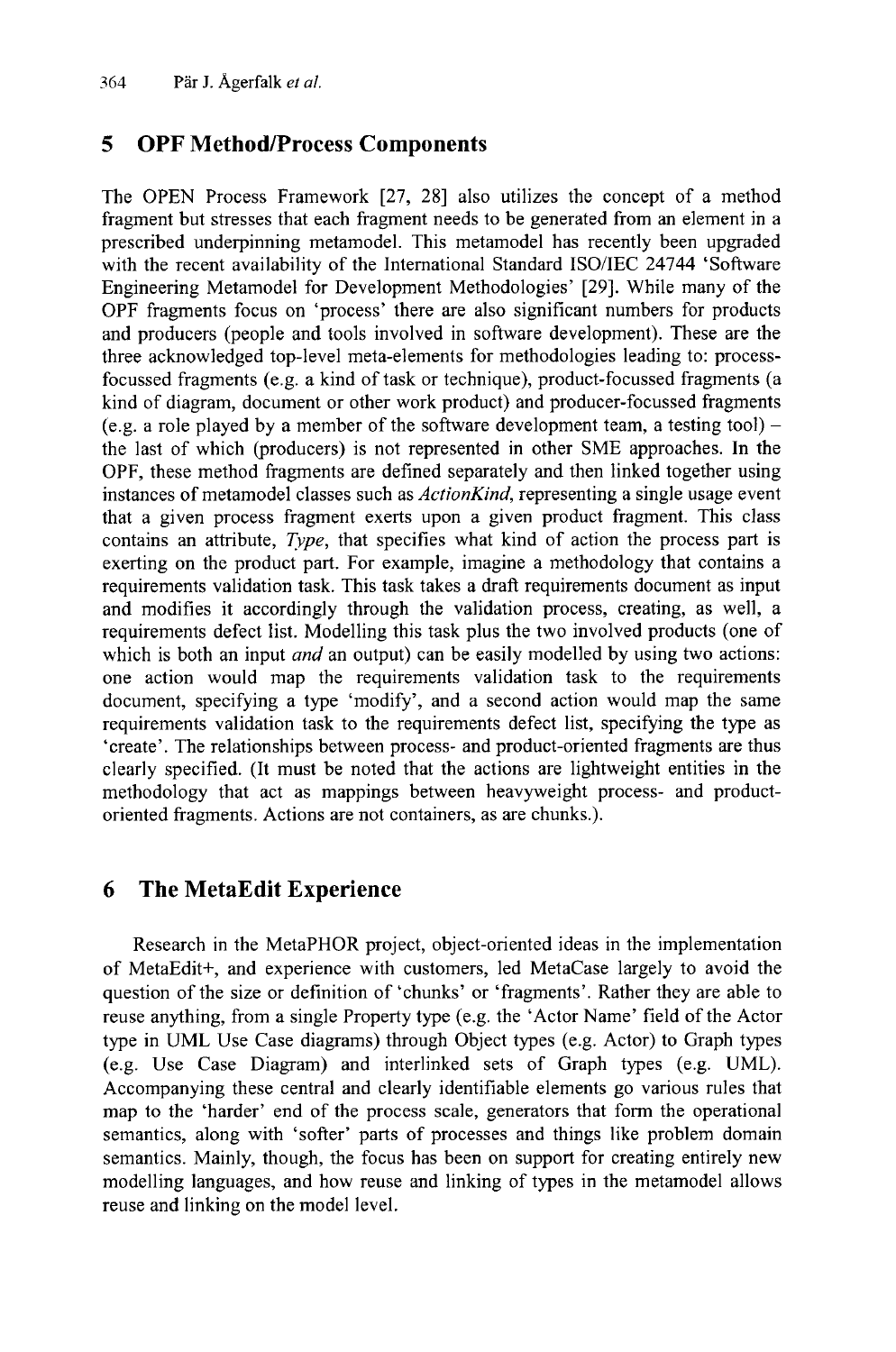## **5 OPFMethod/Process Components**

The OPEN Process Framework [27, 28] also utilizes the concept of a method fragment but stresses that each fragment needs to be generated from an element in a prescribed underpinning metamodel. This metamodel has recently been upgraded with the recent availability of the International Standard ISO/IEC 24744 'Software Engineering Metamodel for Development Methodologies' [29]. While many of the OPF fragments focus on 'process' there are also significant numbers for products and producers (people and tools involved in software development). These are the three acknowledged top-level meta-elements for methodologies leading to: processfocussed fragments (e.g. a kind of task or technique), product-focussed fragments (a kind of diagram, document or other work product) and producer-focussed fragments (e.g. a role played by a member of the software development team, a testing tool) – the last of which (producers) is not represented in other SME approaches. In the OPF, these method fragments are defined separately and then linked together using instances of metamodel classes such as *ActionKind,* representing a single usage event that a given process fragment exerts upon a given product fragment. This class contains an attribute, *Type,* that specifies what kind of action the process part is exerting on the product part. For example, imagine a methodology that contains a requirements validation task. This task takes a draft requirements document as input and modifies it accordingly through the validation process, creating, as well, a requirements defect list. Modelling this task plus the two involved products (one of which is both an input *and* an output) can be easily modelled by using two actions: one action would map the requirements validation task to the requirements document, specifying a type 'modify', and a second action would map the same requirements validation task to the requirements defect list, specifying the type as 'create'. The relationships between process- and product-oriented fragments are thus clearly specified. (It must be noted that the actions are lightweight entities in the methodology that act as mappings between heavyweight process- and productoriented fragments. Actions are not containers, as are chunks.).

## **6 The MetaEdit Experience**

Research in the MetaPHOR project, object-oriented ideas in the implementation of MetaEdit+, and experience with customers, led MetaCase largely to avoid the question of the size or definition of 'chunks' or 'fragments'. Rather they are able to reuse anything, from a single Property type (e.g. the 'Actor Name' field of the Actor type in UML Use Case diagrams) through Object types (e.g. Actor) to Graph types (e.g. Use Case Diagram) and interlinked sets of Graph types (e.g. UML). Accompanying these central and clearly identifiable elements go various rules that map to the 'harder' end of the process scale, generators that form the operational semantics, along with 'softer' parts of processes and things like problem domain semantics. Mainly, though, the focus has been on support for creating entirely new modelling languages, and how reuse and linking of types in the metamodel allows reuse and linking on the model level.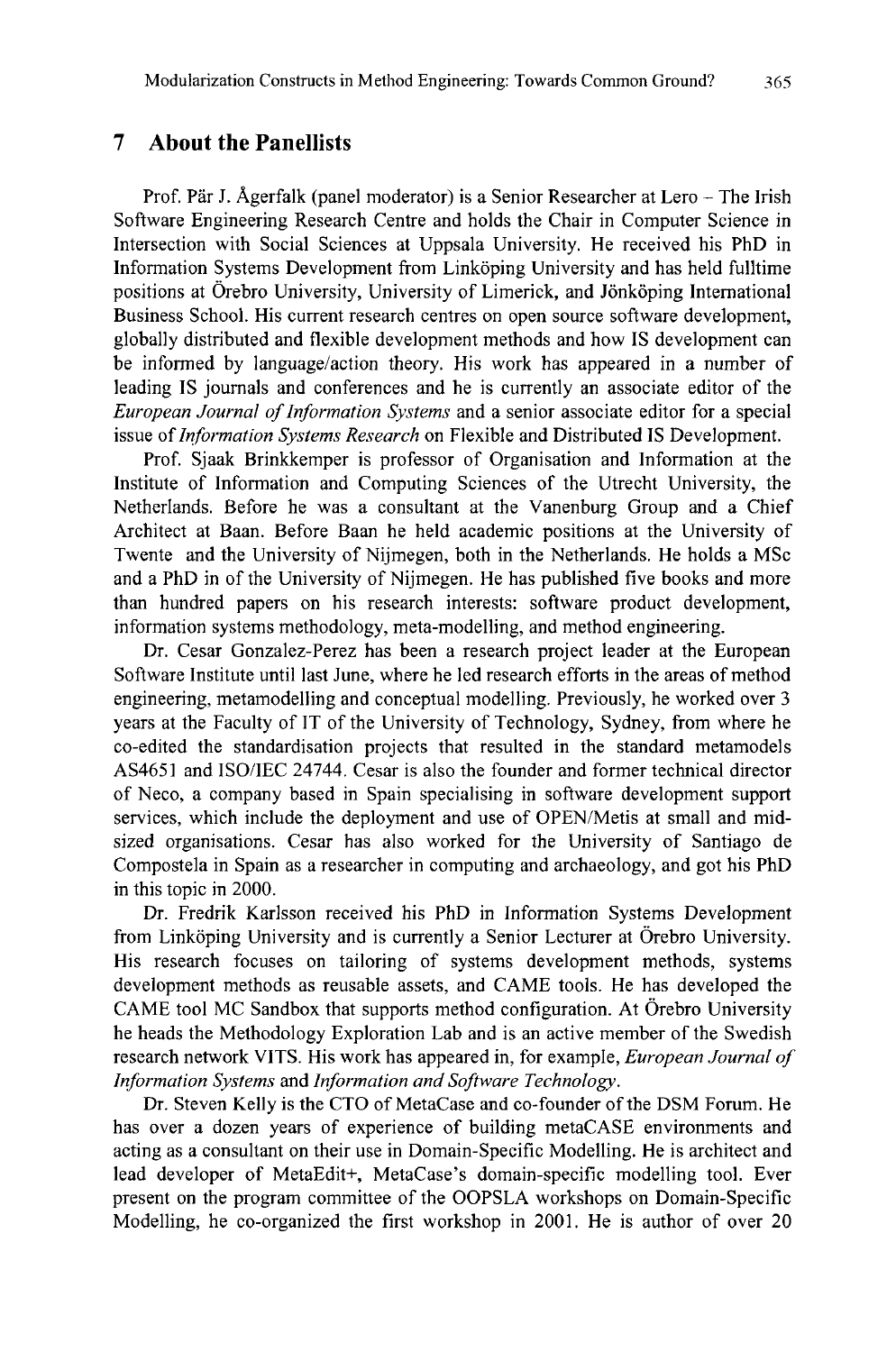#### **7 About the Panellists**

Prof. Pär J. Ågerfalk (panel moderator) is a Senior Researcher at Lero - The Irish Software Engineering Research Centre and holds the Chair in Computer Science in Intersection with Social Sciences at Uppsala University. He received his PhD in Information Systems Development from Link6ping University and has held fulltime positions at Örebro University, University of Limerick, and Jönköping International Business School. His current research centres on open source software development, globally distributed and flexible development methods and how IS development can be informed by language/action theory. His work has appeared in a number of leading IS journals and conferences and he is currently an associate editor of the *European Journal of Information Systems* and a senior associate editor for a special issue of *Information Systems Research* on Flexible and Distributed IS Development.

Prof. Sjaak Brinkkemper is professor of Organisation and Information at the Institute of Information and Computing Sciences of the Utrecht University, the Netherlands. Before he was a consultant at the Vanenburg Group and a Chief Architect at Baan. Before Baan he held academic positions at the University of Twente and the University of Nijmegen, both in the Netherlands. He holds a MSc and a PhD in of the University of Nijmegen. He has published five books and more than hundred papers on his research interests: software product development, information systems methodology, meta-modelling, and method engineering.

Dr. Cesar Gonzalez-Perez has been a research project leader at the European Software Institute until last June, where he led research efforts in the areas of method engineering, metamodelling and conceptual modelling. Previously, he worked over 3 years at the Faculty of IT of the University of Technology, Sydney, from where he co-edited the standardisation projects that resulted in the standard metamodels AS4651 and ISO/IEC 24744. Cesar is also the founder and former technical director of Neco, a company based in Spain specialising in software development support services, which include the deployment and use of OPEN/Metis at small and midsized organisations. Cesar has also worked for the University of Santiago de Compostela in Spain as a researcher in computing and archaeology, and got his PhD in this topic in 2000.

Dr. Fredrik Karlsson received his PhD in Information Systems Development from Link6ping University and is currently a Senior Lecturer at Orebro University. His research focuses on tailoring of systems development methods, systems development methods as reusable assets, and CAME tools. He has developed the CAME tool MC Sandbox that supports method configuration. At Orebro University he heads the Methodology Exploration Lab and is an active member of the Swedish research network VITS. His work has appeared in, for example, *European Journal of Information Systems and Information and Software Technology.* 

Dr. Steven Kelly is the CTO of MetaCase and co-founder of the DSM Forum. He has over a dozen years of experience of building metaCASE environments and acting as a consultant on their use in Domain-Specific Modelling. He is architect and lead developer of MetaEdit+, MetaCase's domain-specific modelling tool. Ever present on the program committee of the OOPSLA workshops on Domain-Specific Modelling, he co-organized the first workshop in 2001. He is author of over 20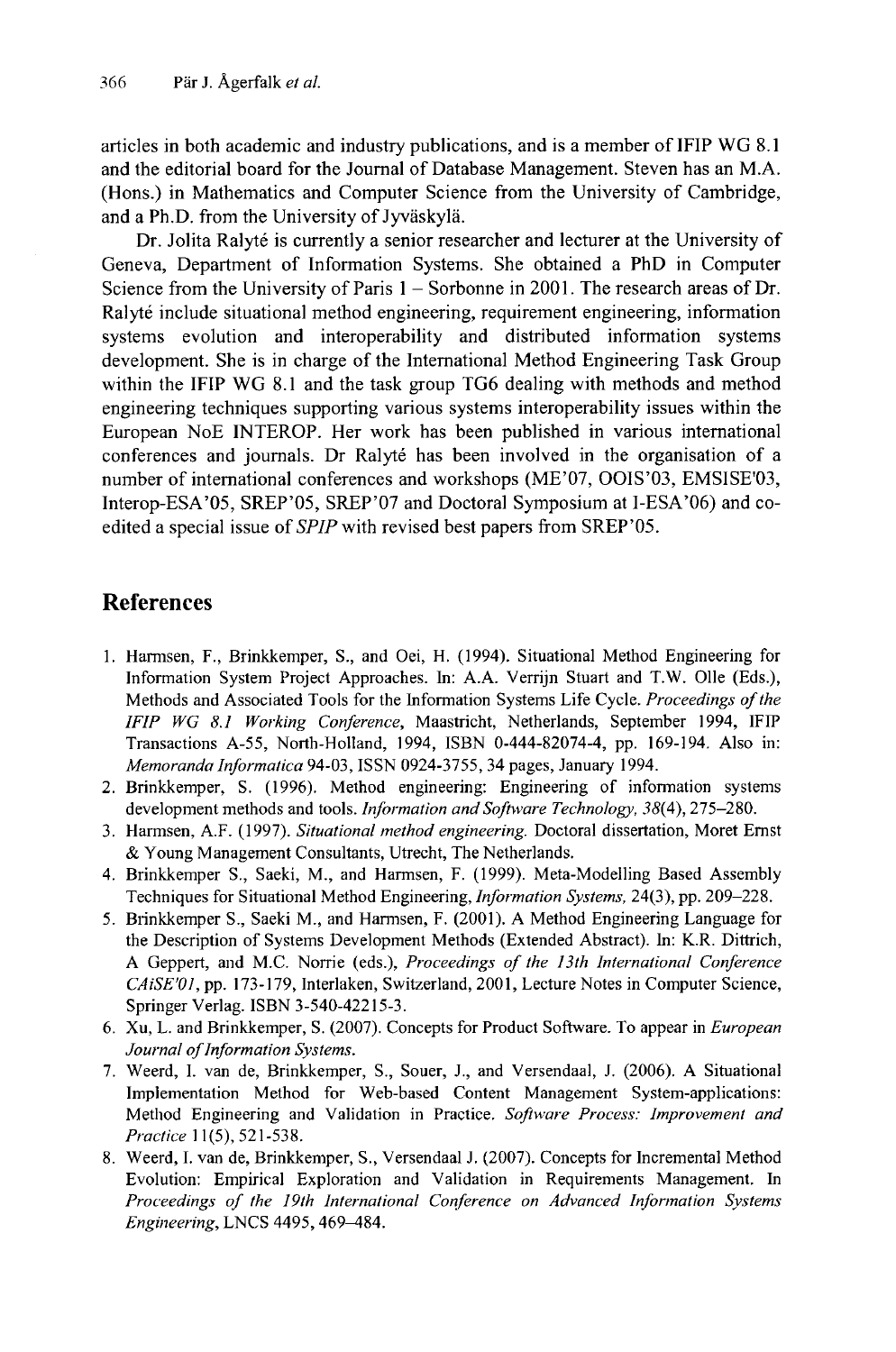articles in both academic and industry publications, and is a member of IFIP WG 8.1 and the editorial board for the Journal of Database Management. Steven has an M.A. (Hons.) in Mathematics and Computer Science from the University of Cambridge, and a Ph.D. from the University of Jyväskylä.

Dr. Jolita Ralyté is currently a senior researcher and lecturer at the University of Geneva, Department of Information Systems. She obtained a PhD in Computer Science from the University of Paris 1 - Sorbonne in 2001. The research areas of Dr. Ralyté include situational method engineering, requirement engineering, information systems evolution and interoperability and distributed information systems development. She is in charge of the International Method Engineering Task Group within the IFIP WG 8.1 and the task group TG6 dealing with methods and method engineering techniques supporting various systems interoperability issues within the European NoE INTEROP. Her work has been published in various international conferences and journals. Dr Ralyté has been involved in the organisation of a number of international conferences and workshops (ME'07, OOIS'03, EMSISE'03, Interop-ESA'05, SREP'05, SREP'07 and Doctoral Symposium at I-ESA'06) and coedited a special issue of *SPIP* with revised best papers from SREP'05.

## **References**

- 1. Harmsen, F., Brinkkemper, S., and Oei, H. (1994). Situational Method Engineering for Information System Project Approaches. In: A.A. Verrijn Stuart and T.W. Olle (Eds.), Methods and Associated Tools for the Information Systems Life Cycle. *Proceedings of the IFIP WG 8.1 Working Conference,* Maastricht, Netherlands, September 1994, IF1P Transactions A-55, North-Holland, 1994, ISBN 0-444-82074-4, pp. 169-194. Also in: *Memoranda Informatica* 94-03, ISSN 0924-3755, 34 pages, January 1994.
- 2. Brinkkemper, S. (1996). Method engineering: Engineering of information systems development methods and tools. *Information and Software Technology,* 38(4), 275-280.
- 3. Harmsen, A.F. (1997). *Situational method engineering.* Doctoral dissertation, Motet Ernst & Young Management Consultants, Utrecht, The Netherlands.
- 4. Brinkkemper S., Saeki, M., and Harmsen, F. (1999). Meta-Modelling Based Assembly Techniques for Situational Method Engineering, *Information Systems,* 24(3), pp. 209-228.
- 5. Brinkkemper S., Saeki M., and Harmsen, F. (2001). A Method Engineering Language for the Description of Systems Development Methods (Extended Abstract). In: K.R. Dittrich, A Geppert, and M.C. Norrie (eds.), *Proceedings of the 13th International Conference CAiSE'O1,* pp. 173-179, Interlaken, Switzerland, 2001, Lecture Notes in Computer Science, Springer Verlag. ISBN 3-540-42215-3.
- 6. Xu, L. and Brinkkemper, S. (2007). Concepts for Product Software. To appear in *European Journal of Information Systems.*
- 7. Weerd, I. van de, Brinkkemper, S., Souer, J., and Versendaal, J. (2006). A Situational Implementation Method for Web-based Content Management System-applications: Method Engineering and Validation in Practice. *Software Process: Improvement and Practice* 11(5), 521-538.
- 8. Weerd, I. van de, Brinkkemper, S., Versendaal J. (2007). Concepts for Incremental Method Evolution: Empirical Exploration and Validation in Requirements Management. In *Proceedings of the 19th International Conference on Advanced Information Systems Engineering,* LNCS 4495, 469-484.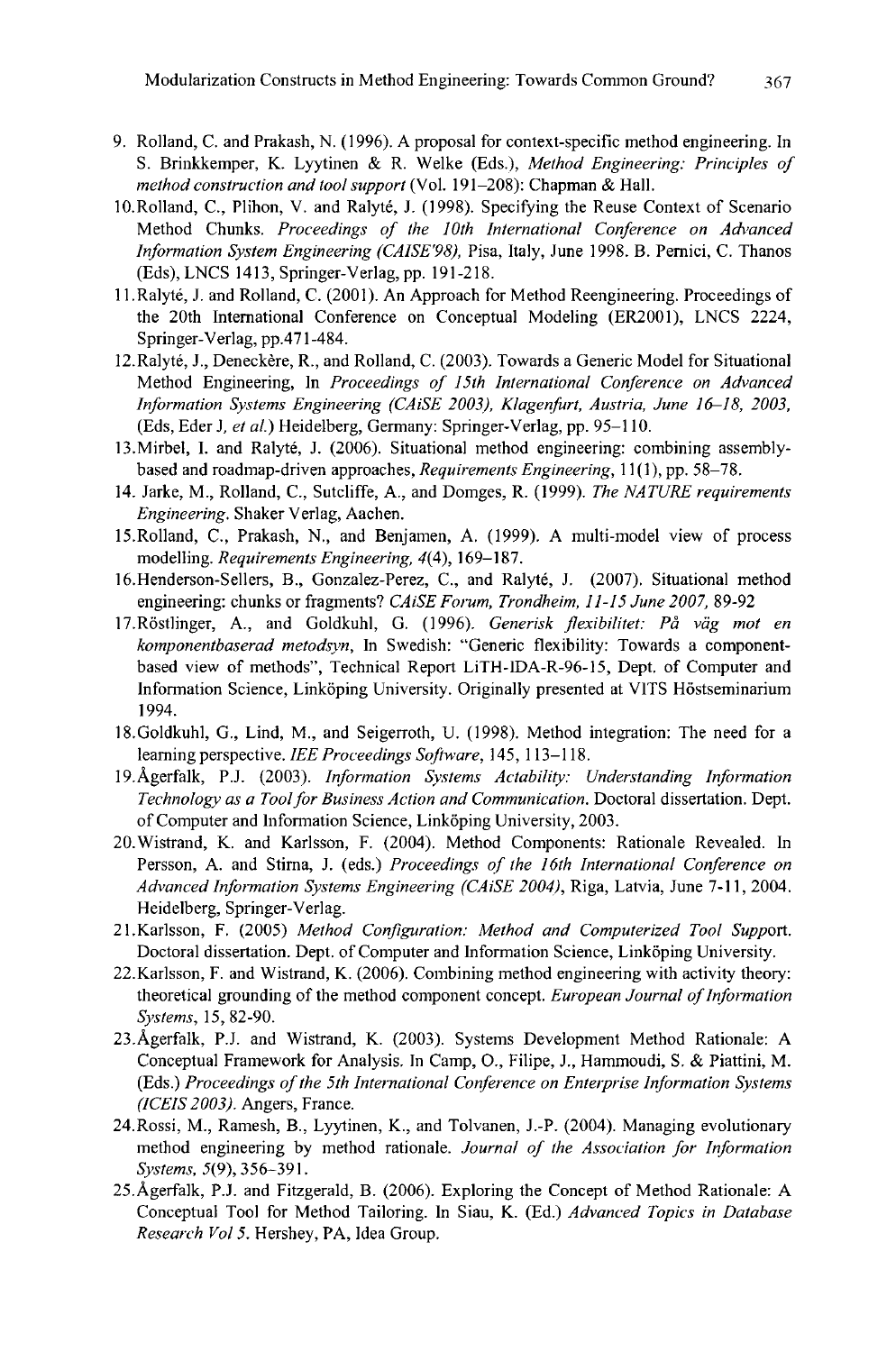- 9. Rolland, C. and Prakash, N. (1996). A proposal for context-specific method engineering. In S. Brinkkemper, K. Lyytinen & R. Welke (Eds.), *Method Engineering: Principles of method construction and tool support* (Vol. 191-208): Chapman & Hall.
- 10.Rolland, C., Plihon, V. and Ralyté, J. (1998). Specifying the Reuse Context of Scenario Method Chunks. *Proceedings of the l Oth International Conference on Advanced Information System Engineering (CAISE'98),* Pisa, Italy, June 1998. B. Pernici, C. Thanos (Eds), LNCS 1413, Springer-Verlag, pp. 191-218.
- 11.Ralyté, J. and Rolland, C. (2001). An Approach for Method Reengineering. Proceedings of the 20th International Conference on Conceptual Modeling (ER2001), LNCS 2224, Springer-Verlag, pp.471-484.
- 12.Ralyté, J., Deneckère, R., and Rolland, C. (2003). Towards a Generic Model for Situational Method Engineering, In *Proceedings of 15th International Conference on Advanced Information Systems Engineering (CAiSE 2003), Klagenfurt, Austria, June 16-18, 2003,*  (Eds, Eder J, *et al.)* Heidelberg, Germany: Springer-Verlag, pp. 95-110.
- 13. Mirbel, I. and Ralyté, J. (2006). Situational method engineering: combining assemblybased and roadmap-driven approaches, *Requirements Engineering,* 11 (1), pp. 58-78.
- 14. Jarke, M., Rolland, C., Sutcliffe, A., and Domges, R. (1999). *The NATURE requirements Engineering.* Shaker Verlag, Aachen.
- 15.Rolland, C., Prakash, N., and Benjamen, A. (1999). A multi-model view of process modelling. *Requirements Engineering,* 4(4), 169-187.
- 16.Henderson-Sellers, B., Gonzalez-Perez, C., and Ralyté, J. (2007). Situational method engineering: chunks or fragments? *CAiSE Forum, Trondheim, 11-15 June 2007,* 89-92
- 17.R6stlinger, A., and Goldkuhl, G. (1996). *Generisk flexibilitet: Pgt viig mot en komponentbaserad metodsyn,* In Swedish: "Generic flexibility: Towards a componentbased view of methods", Technical Report LiTH-IDA-R-96-15, Dept. of Computer and Information Science, Linköping University. Originally presented at VITS Höstseminarium 1994.
- 18.Goldkuhl, G., Lind, M., and Seigerroth, U. (1998). Method integration: The need for a learning perspective, *lEE Proceedings Software, 145, 113-118.*
- 19.Agerfalk, P.J. (2003). *Information Systems Actability: Understanding Information Technology as a Tool for Business Action and Communication.* Doctoral dissertation. Dept. of Computer and Information Science, Link6ping University, 2003.
- 20.Wistrand, K. and Karlsson, F. (2004). Method Components: Rationale Revealed. In Persson, A. and Stirna, J. (eds.) *Proceedings of the 16th International Conference on Advanced Information Systems Engineering (CAiSE 2004),* Riga, Latvia, June 7-11, 2004. Heidelberg, Springer-Verlag.
- 21.Karlsson, F. (2005) *Method Configuration: Method and Computerized Tool Support.*  Doctoral dissertation. Dept. of Computer and Information Science, Link6ping University.
- 22.Karlsson, F. and Wistrand, K. (2006). Combining method engineering with activity theory: theoretical grounding of the method component concept. *European Journal of Information Systems,* 15, 82-90.
- 23.Agerfalk, P.J. and Wistrand, K. (2003). Systems Development Method Rationale: A Conceptual Framework for Analysis. In Camp, O., Filipe, J., Hammoudi, S. & Piattini, M. (Eds.) *Proceedings of the 5th International Conference on Enterprise Information Systems (ICEIS 2003).* Angers, France.
- 24.Rossi, M., Ramesh, B., Lyytinen, K., and Tolvanen, J.-P. (2004). Managing evolutionary method engineering by method rationale. *Journal of the Association for Information Systems,* 5(9), 356-391.
- 25.Agerfalk, P.J. and Fitzgerald, B. (2006). Exploring the Concept of Method Rationale: A Conceptual Tool for Method Tailoring. In Siau, K. (Ed.) *Advanced Topics in Database Research Vol 5.* Hershey, PA, Idea Group.